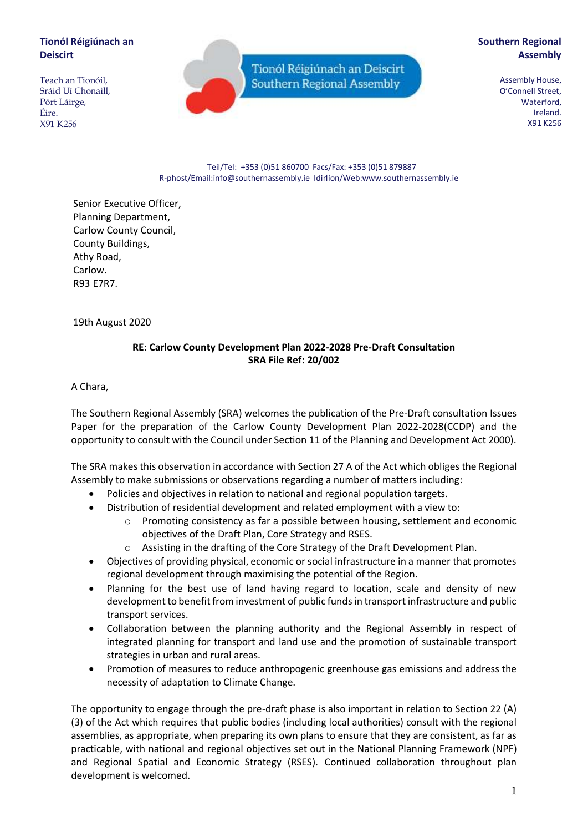## **Tionól Réigiúnach an Deiscirt**

Teach an Tionóil, Sráid Uí Chonaill, Pórt Láirge, Éire. X91 K256

Tionól Réigiúnach an Deiscirt Southern Regional Assembly

# **Southern Regional Assembly**

Assembly House, O'Connell Street, Waterford, Ireland. X91 K256

Teil/Tel: +353 (0)51 860700 Facs/Fax: +353 (0)51 879887 R-phost/Email:info@southernassembly.ie Idirlíon/Web:www.southernassembly.ie

Senior Executive Officer, Planning Department, Carlow County Council, County Buildings, Athy Road, Carlow. R93 E7R7.

19th August 2020

# **RE: Carlow County Development Plan 2022-2028 Pre-Draft Consultation SRA File Ref: 20/002**

A Chara,

The Southern Regional Assembly (SRA) welcomes the publication of the Pre-Draft consultation Issues Paper for the preparation of the Carlow County Development Plan 2022-2028(CCDP) and the opportunity to consult with the Council under Section 11 of the Planning and Development Act 2000).

The SRA makes this observation in accordance with Section 27 A of the Act which obliges the Regional Assembly to make submissions or observations regarding a number of matters including:

- Policies and objectives in relation to national and regional population targets.
- Distribution of residential development and related employment with a view to:
	- $\circ$  Promoting consistency as far a possible between housing, settlement and economic objectives of the Draft Plan, Core Strategy and RSES.
	- o Assisting in the drafting of the Core Strategy of the Draft Development Plan.
- Objectives of providing physical, economic or social infrastructure in a manner that promotes regional development through maximising the potential of the Region.
- Planning for the best use of land having regard to location, scale and density of new development to benefit from investment of public funds in transport infrastructure and public transport services.
- Collaboration between the planning authority and the Regional Assembly in respect of integrated planning for transport and land use and the promotion of sustainable transport strategies in urban and rural areas.
- Promotion of measures to reduce anthropogenic greenhouse gas emissions and address the necessity of adaptation to Climate Change.

The opportunity to engage through the pre-draft phase is also important in relation to Section 22 (A) (3) of the Act which requires that public bodies (including local authorities) consult with the regional assemblies, as appropriate, when preparing its own plans to ensure that they are consistent, as far as practicable, with national and regional objectives set out in the National Planning Framework (NPF) and Regional Spatial and Economic Strategy (RSES). Continued collaboration throughout plan development is welcomed.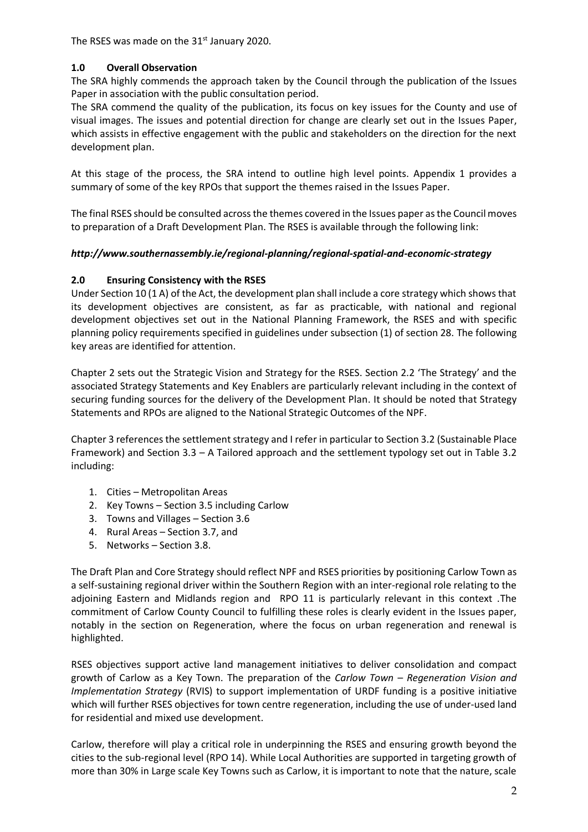The RSES was made on the 31<sup>st</sup> January 2020.

# **1.0 Overall Observation**

The SRA highly commends the approach taken by the Council through the publication of the Issues Paper in association with the public consultation period.

The SRA commend the quality of the publication, its focus on key issues for the County and use of visual images. The issues and potential direction for change are clearly set out in the Issues Paper, which assists in effective engagement with the public and stakeholders on the direction for the next development plan.

At this stage of the process, the SRA intend to outline high level points. Appendix 1 provides a summary of some of the key RPOs that support the themes raised in the Issues Paper.

The final RSES should be consulted across the themes covered in the Issues paper as the Council moves to preparation of a Draft Development Plan. The RSES is available through the following link:

### *http://www.southernassembly.ie/regional-planning/regional-spatial-and-economic-strategy*

### **2.0 Ensuring Consistency with the RSES**

Under Section 10 (1 A) of the Act, the development plan shall include a core strategy which shows that its development objectives are consistent, as far as practicable, with national and regional development objectives set out in the National Planning Framework, the RSES and with specific planning policy requirements specified in guidelines under subsection (1) of section 28. The following key areas are identified for attention.

Chapter 2 sets out the Strategic Vision and Strategy for the RSES. Section 2.2 'The Strategy' and the associated Strategy Statements and Key Enablers are particularly relevant including in the context of securing funding sources for the delivery of the Development Plan. It should be noted that Strategy Statements and RPOs are aligned to the National Strategic Outcomes of the NPF.

Chapter 3 references the settlement strategy and I refer in particular to Section 3.2 (Sustainable Place Framework) and Section 3.3 – A Tailored approach and the settlement typology set out in Table 3.2 including:

- 1. Cities Metropolitan Areas
- 2. Key Towns Section 3.5 including Carlow
- 3. Towns and Villages Section 3.6
- 4. Rural Areas Section 3.7, and
- 5. Networks Section 3.8.

The Draft Plan and Core Strategy should reflect NPF and RSES priorities by positioning Carlow Town as a self-sustaining regional driver within the Southern Region with an inter-regional role relating to the adjoining Eastern and Midlands region and RPO 11 is particularly relevant in this context .The commitment of Carlow County Council to fulfilling these roles is clearly evident in the Issues paper, notably in the section on Regeneration, where the focus on urban regeneration and renewal is highlighted.

RSES objectives support active land management initiatives to deliver consolidation and compact growth of Carlow as a Key Town. The preparation of the *Carlow Town – Regeneration Vision and Implementation Strategy* (RVIS) to support implementation of URDF funding is a positive initiative which will further RSES objectives for town centre regeneration, including the use of under-used land for residential and mixed use development.

Carlow, therefore will play a critical role in underpinning the RSES and ensuring growth beyond the cities to the sub-regional level (RPO 14). While Local Authorities are supported in targeting growth of more than 30% in Large scale Key Towns such as Carlow, it is important to note that the nature, scale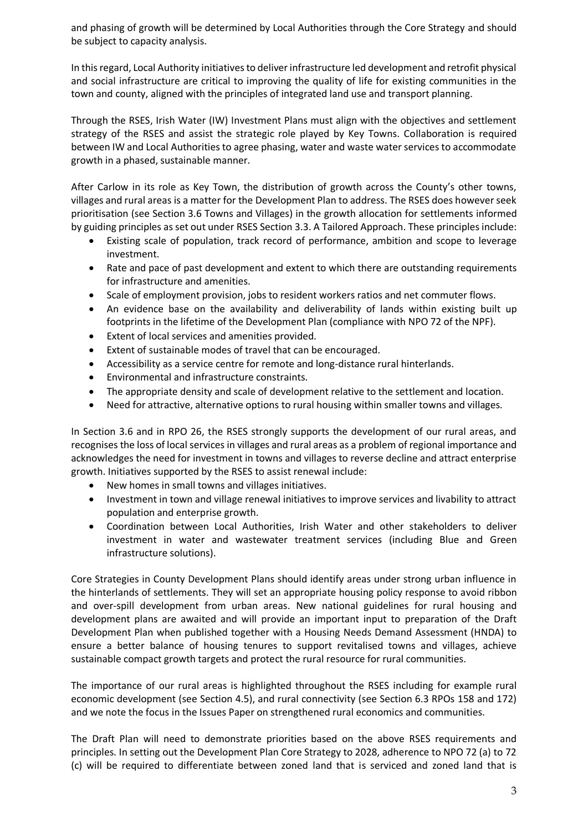and phasing of growth will be determined by Local Authorities through the Core Strategy and should be subject to capacity analysis.

In this regard, Local Authority initiatives to deliver infrastructure led development and retrofit physical and social infrastructure are critical to improving the quality of life for existing communities in the town and county, aligned with the principles of integrated land use and transport planning.

Through the RSES, Irish Water (IW) Investment Plans must align with the objectives and settlement strategy of the RSES and assist the strategic role played by Key Towns. Collaboration is required between IW and Local Authorities to agree phasing, water and waste water services to accommodate growth in a phased, sustainable manner.

After Carlow in its role as Key Town, the distribution of growth across the County's other towns, villages and rural areas is a matter for the Development Plan to address. The RSES does however seek prioritisation (see Section 3.6 Towns and Villages) in the growth allocation for settlements informed by guiding principles as set out under RSES Section 3.3. A Tailored Approach. These principles include:

- Existing scale of population, track record of performance, ambition and scope to leverage investment.
- Rate and pace of past development and extent to which there are outstanding requirements for infrastructure and amenities.
- Scale of employment provision, jobs to resident workers ratios and net commuter flows.
- An evidence base on the availability and deliverability of lands within existing built up footprints in the lifetime of the Development Plan (compliance with NPO 72 of the NPF).
- Extent of local services and amenities provided.
- Extent of sustainable modes of travel that can be encouraged.
- Accessibility as a service centre for remote and long-distance rural hinterlands.
- Environmental and infrastructure constraints.
- The appropriate density and scale of development relative to the settlement and location.
- Need for attractive, alternative options to rural housing within smaller towns and villages.

In Section 3.6 and in RPO 26, the RSES strongly supports the development of our rural areas, and recognises the loss of local services in villages and rural areas as a problem of regional importance and acknowledges the need for investment in towns and villages to reverse decline and attract enterprise growth. Initiatives supported by the RSES to assist renewal include:

- New homes in small towns and villages initiatives.
- Investment in town and village renewal initiatives to improve services and livability to attract population and enterprise growth.
- Coordination between Local Authorities, Irish Water and other stakeholders to deliver investment in water and wastewater treatment services (including Blue and Green infrastructure solutions).

Core Strategies in County Development Plans should identify areas under strong urban influence in the hinterlands of settlements. They will set an appropriate housing policy response to avoid ribbon and over-spill development from urban areas. New national guidelines for rural housing and development plans are awaited and will provide an important input to preparation of the Draft Development Plan when published together with a Housing Needs Demand Assessment (HNDA) to ensure a better balance of housing tenures to support revitalised towns and villages, achieve sustainable compact growth targets and protect the rural resource for rural communities.

The importance of our rural areas is highlighted throughout the RSES including for example rural economic development (see Section 4.5), and rural connectivity (see Section 6.3 RPOs 158 and 172) and we note the focus in the Issues Paper on strengthened rural economics and communities.

The Draft Plan will need to demonstrate priorities based on the above RSES requirements and principles. In setting out the Development Plan Core Strategy to 2028, adherence to NPO 72 (a) to 72 (c) will be required to differentiate between zoned land that is serviced and zoned land that is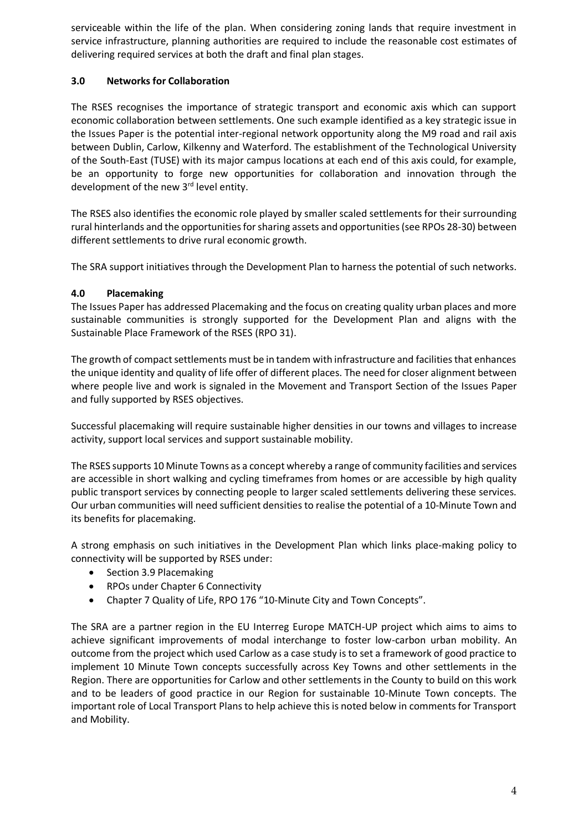serviceable within the life of the plan. When considering zoning lands that require investment in service infrastructure, planning authorities are required to include the reasonable cost estimates of delivering required services at both the draft and final plan stages.

# **3.0 Networks for Collaboration**

The RSES recognises the importance of strategic transport and economic axis which can support economic collaboration between settlements. One such example identified as a key strategic issue in the Issues Paper is the potential inter-regional network opportunity along the M9 road and rail axis between Dublin, Carlow, Kilkenny and Waterford. The establishment of the Technological University of the South-East (TUSE) with its major campus locations at each end of this axis could, for example, be an opportunity to forge new opportunities for collaboration and innovation through the development of the new 3<sup>rd</sup> level entity.

The RSES also identifies the economic role played by smaller scaled settlements for their surrounding rural hinterlands and the opportunities for sharing assets and opportunities (see RPOs 28-30) between different settlements to drive rural economic growth.

The SRA support initiatives through the Development Plan to harness the potential of such networks.

## **4.0 Placemaking**

The Issues Paper has addressed Placemaking and the focus on creating quality urban places and more sustainable communities is strongly supported for the Development Plan and aligns with the Sustainable Place Framework of the RSES (RPO 31).

The growth of compact settlements must be in tandem with infrastructure and facilities that enhances the unique identity and quality of life offer of different places. The need for closer alignment between where people live and work is signaled in the Movement and Transport Section of the Issues Paper and fully supported by RSES objectives.

Successful placemaking will require sustainable higher densities in our towns and villages to increase activity, support local services and support sustainable mobility.

The RSES supports 10 Minute Towns as a concept whereby a range of community facilities and services are accessible in short walking and cycling timeframes from homes or are accessible by high quality public transport services by connecting people to larger scaled settlements delivering these services. Our urban communities will need sufficient densities to realise the potential of a 10-Minute Town and its benefits for placemaking.

A strong emphasis on such initiatives in the Development Plan which links place-making policy to connectivity will be supported by RSES under:

- Section 3.9 Placemaking
- RPOs under Chapter 6 Connectivity
- Chapter 7 Quality of Life, RPO 176 "10-Minute City and Town Concepts".

The SRA are a partner region in the EU Interreg Europe MATCH-UP project which aims to aims to achieve significant improvements of modal interchange to foster low-carbon urban mobility. An outcome from the project which used Carlow as a case study is to set a framework of good practice to implement 10 Minute Town concepts successfully across Key Towns and other settlements in the Region. There are opportunities for Carlow and other settlements in the County to build on this work and to be leaders of good practice in our Region for sustainable 10-Minute Town concepts. The important role of Local Transport Plans to help achieve this is noted below in comments for Transport and Mobility.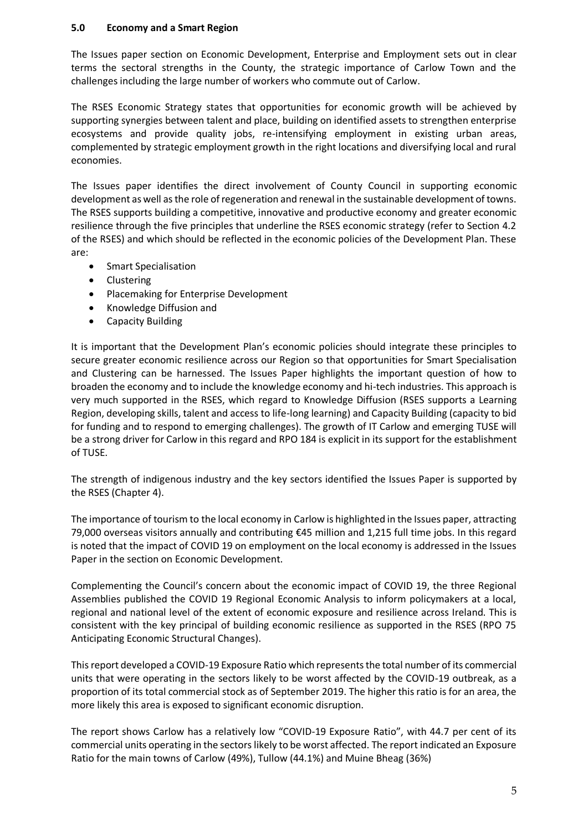#### **5.0 Economy and a Smart Region**

The Issues paper section on Economic Development, Enterprise and Employment sets out in clear terms the sectoral strengths in the County, the strategic importance of Carlow Town and the challenges including the large number of workers who commute out of Carlow.

The RSES Economic Strategy states that opportunities for economic growth will be achieved by supporting synergies between talent and place, building on identified assets to strengthen enterprise ecosystems and provide quality jobs, re-intensifying employment in existing urban areas, complemented by strategic employment growth in the right locations and diversifying local and rural economies.

The Issues paper identifies the direct involvement of County Council in supporting economic development as well as the role of regeneration and renewal in the sustainable development of towns. The RSES supports building a competitive, innovative and productive economy and greater economic resilience through the five principles that underline the RSES economic strategy (refer to Section 4.2 of the RSES) and which should be reflected in the economic policies of the Development Plan. These are:

- **•** Smart Specialisation
- Clustering
- Placemaking for Enterprise Development
- Knowledge Diffusion and
- Capacity Building

It is important that the Development Plan's economic policies should integrate these principles to secure greater economic resilience across our Region so that opportunities for Smart Specialisation and Clustering can be harnessed. The Issues Paper highlights the important question of how to broaden the economy and to include the knowledge economy and hi-tech industries. This approach is very much supported in the RSES, which regard to Knowledge Diffusion (RSES supports a Learning Region, developing skills, talent and access to life-long learning) and Capacity Building (capacity to bid for funding and to respond to emerging challenges). The growth of IT Carlow and emerging TUSE will be a strong driver for Carlow in this regard and RPO 184 is explicit in its support for the establishment of TUSE.

The strength of indigenous industry and the key sectors identified the Issues Paper is supported by the RSES (Chapter 4).

The importance of tourism to the local economy in Carlow is highlighted in the Issues paper, attracting 79,000 overseas visitors annually and contributing €45 million and 1,215 full time jobs. In this regard is noted that the impact of COVID 19 on employment on the local economy is addressed in the Issues Paper in the section on Economic Development.

Complementing the Council's concern about the economic impact of COVID 19, the three Regional Assemblies published the COVID 19 Regional Economic Analysis to inform policymakers at a local, regional and national level of the extent of economic exposure and resilience across Ireland. This is consistent with the key principal of building economic resilience as supported in the RSES (RPO 75 Anticipating Economic Structural Changes).

This report developed a COVID-19 Exposure Ratio which represents the total number of its commercial units that were operating in the sectors likely to be worst affected by the COVID-19 outbreak, as a proportion of its total commercial stock as of September 2019. The higher this ratio is for an area, the more likely this area is exposed to significant economic disruption.

The report shows Carlow has a relatively low "COVID-19 Exposure Ratio", with 44.7 per cent of its commercial units operating in the sectors likely to be worst affected. The report indicated an Exposure Ratio for the main towns of Carlow (49%), Tullow (44.1%) and Muine Bheag (36%)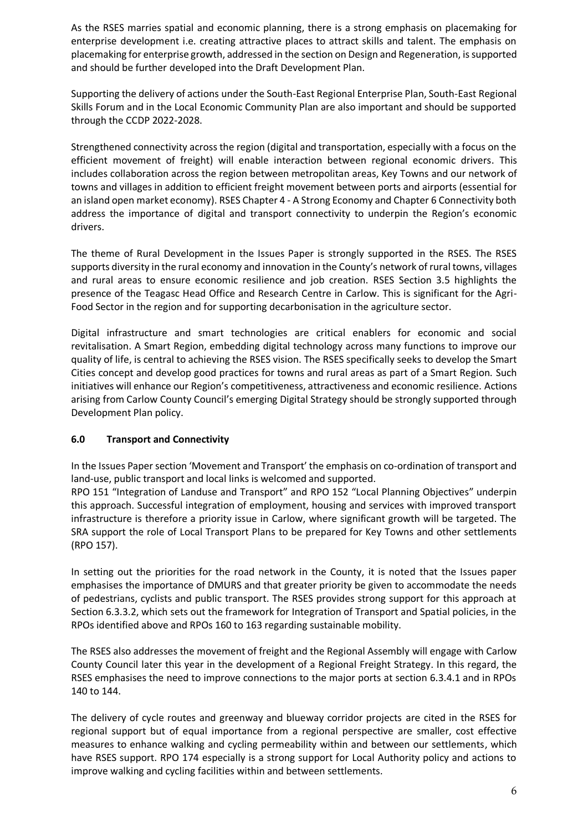As the RSES marries spatial and economic planning, there is a strong emphasis on placemaking for enterprise development i.e. creating attractive places to attract skills and talent. The emphasis on placemaking for enterprise growth, addressed in the section on Design and Regeneration, is supported and should be further developed into the Draft Development Plan.

Supporting the delivery of actions under the South-East Regional Enterprise Plan, South-East Regional Skills Forum and in the Local Economic Community Plan are also important and should be supported through the CCDP 2022-2028.

Strengthened connectivity across the region (digital and transportation, especially with a focus on the efficient movement of freight) will enable interaction between regional economic drivers. This includes collaboration across the region between metropolitan areas, Key Towns and our network of towns and villages in addition to efficient freight movement between ports and airports (essential for an island open market economy). RSES Chapter 4 - A Strong Economy and Chapter 6 Connectivity both address the importance of digital and transport connectivity to underpin the Region's economic drivers.

The theme of Rural Development in the Issues Paper is strongly supported in the RSES. The RSES supports diversity in the rural economy and innovation in the County's network of rural towns, villages and rural areas to ensure economic resilience and job creation. RSES Section 3.5 highlights the presence of the Teagasc Head Office and Research Centre in Carlow. This is significant for the Agri-Food Sector in the region and for supporting decarbonisation in the agriculture sector.

Digital infrastructure and smart technologies are critical enablers for economic and social revitalisation. A Smart Region, embedding digital technology across many functions to improve our quality of life, is central to achieving the RSES vision. The RSES specifically seeks to develop the Smart Cities concept and develop good practices for towns and rural areas as part of a Smart Region. Such initiatives will enhance our Region's competitiveness, attractiveness and economic resilience. Actions arising from Carlow County Council's emerging Digital Strategy should be strongly supported through Development Plan policy.

### **6.0 Transport and Connectivity**

In the Issues Paper section 'Movement and Transport' the emphasis on co-ordination of transport and land-use, public transport and local links is welcomed and supported.

RPO 151 "Integration of Landuse and Transport" and RPO 152 "Local Planning Objectives" underpin this approach. Successful integration of employment, housing and services with improved transport infrastructure is therefore a priority issue in Carlow, where significant growth will be targeted. The SRA support the role of Local Transport Plans to be prepared for Key Towns and other settlements (RPO 157).

In setting out the priorities for the road network in the County, it is noted that the Issues paper emphasises the importance of DMURS and that greater priority be given to accommodate the needs of pedestrians, cyclists and public transport. The RSES provides strong support for this approach at Section 6.3.3.2, which sets out the framework for Integration of Transport and Spatial policies, in the RPOs identified above and RPOs 160 to 163 regarding sustainable mobility.

The RSES also addresses the movement of freight and the Regional Assembly will engage with Carlow County Council later this year in the development of a Regional Freight Strategy. In this regard, the RSES emphasises the need to improve connections to the major ports at section 6.3.4.1 and in RPOs 140 to 144.

The delivery of cycle routes and greenway and blueway corridor projects are cited in the RSES for regional support but of equal importance from a regional perspective are smaller, cost effective measures to enhance walking and cycling permeability within and between our settlements, which have RSES support. RPO 174 especially is a strong support for Local Authority policy and actions to improve walking and cycling facilities within and between settlements.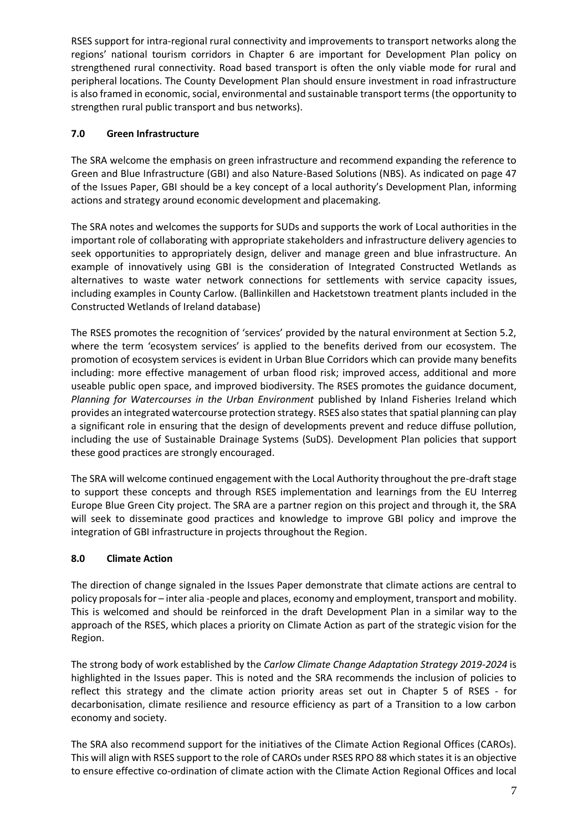RSES support for intra-regional rural connectivity and improvements to transport networks along the regions' national tourism corridors in Chapter 6 are important for Development Plan policy on strengthened rural connectivity. Road based transport is often the only viable mode for rural and peripheral locations. The County Development Plan should ensure investment in road infrastructure is also framed in economic, social, environmental and sustainable transport terms (the opportunity to strengthen rural public transport and bus networks).

# **7.0 Green Infrastructure**

The SRA welcome the emphasis on green infrastructure and recommend expanding the reference to Green and Blue Infrastructure (GBI) and also Nature-Based Solutions (NBS). As indicated on page 47 of the Issues Paper, GBI should be a key concept of a local authority's Development Plan, informing actions and strategy around economic development and placemaking.

The SRA notes and welcomes the supports for SUDs and supports the work of Local authorities in the important role of collaborating with appropriate stakeholders and infrastructure delivery agencies to seek opportunities to appropriately design, deliver and manage green and blue infrastructure. An example of innovatively using GBI is the consideration of Integrated Constructed Wetlands as alternatives to waste water network connections for settlements with service capacity issues, including examples in County Carlow. (Ballinkillen and Hacketstown treatment plants included in the Constructed Wetlands of Ireland database)

The RSES promotes the recognition of 'services' provided by the natural environment at Section 5.2, where the term 'ecosystem services' is applied to the benefits derived from our ecosystem. The promotion of ecosystem services is evident in Urban Blue Corridors which can provide many benefits including: more effective management of urban flood risk; improved access, additional and more useable public open space, and improved biodiversity. The RSES promotes the guidance document, *Planning for Watercourses in the Urban Environment* published by Inland Fisheries Ireland which provides an integrated watercourse protection strategy. RSES also states that spatial planning can play a significant role in ensuring that the design of developments prevent and reduce diffuse pollution, including the use of Sustainable Drainage Systems (SuDS). Development Plan policies that support these good practices are strongly encouraged.

The SRA will welcome continued engagement with the Local Authority throughout the pre-draft stage to support these concepts and through RSES implementation and learnings from the EU Interreg Europe Blue Green City project. The SRA are a partner region on this project and through it, the SRA will seek to disseminate good practices and knowledge to improve GBI policy and improve the integration of GBI infrastructure in projects throughout the Region.

### **8.0 Climate Action**

The direction of change signaled in the Issues Paper demonstrate that climate actions are central to policy proposals for – inter alia -people and places, economy and employment, transport and mobility. This is welcomed and should be reinforced in the draft Development Plan in a similar way to the approach of the RSES, which places a priority on Climate Action as part of the strategic vision for the Region.

The strong body of work established by the *Carlow Climate Change Adaptation Strategy 2019-2024* is highlighted in the Issues paper. This is noted and the SRA recommends the inclusion of policies to reflect this strategy and the climate action priority areas set out in Chapter 5 of RSES - for decarbonisation, climate resilience and resource efficiency as part of a Transition to a low carbon economy and society.

The SRA also recommend support for the initiatives of the Climate Action Regional Offices (CAROs). This will align with RSES support to the role of CAROs under RSES RPO 88 which states it is an objective to ensure effective co-ordination of climate action with the Climate Action Regional Offices and local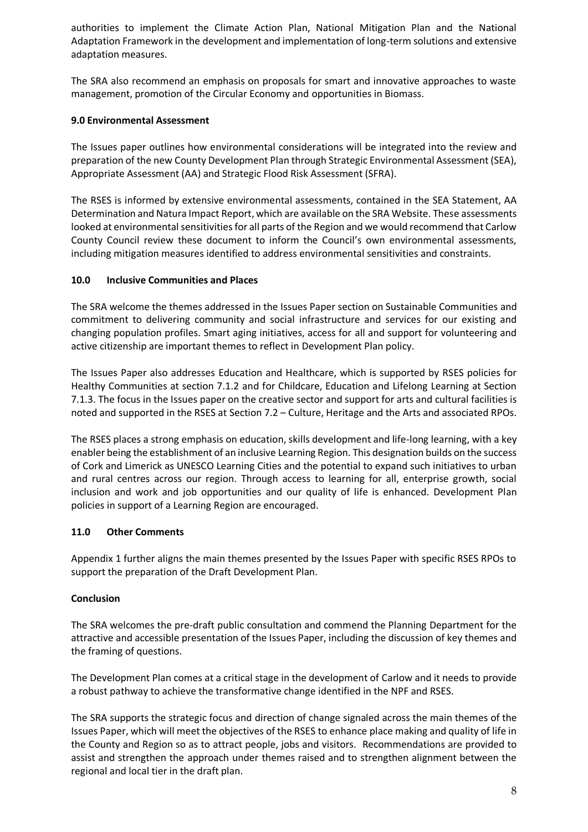authorities to implement the Climate Action Plan, National Mitigation Plan and the National Adaptation Framework in the development and implementation of long-term solutions and extensive adaptation measures.

The SRA also recommend an emphasis on proposals for smart and innovative approaches to waste management, promotion of the Circular Economy and opportunities in Biomass.

#### **9.0 Environmental Assessment**

The Issues paper outlines how environmental considerations will be integrated into the review and preparation of the new County Development Plan through Strategic Environmental Assessment (SEA), Appropriate Assessment (AA) and Strategic Flood Risk Assessment (SFRA).

The RSES is informed by extensive environmental assessments, contained in the SEA Statement, AA Determination and Natura Impact Report, which are available on the SRA Website. These assessments looked at environmental sensitivities for all parts of the Region and we would recommend that Carlow County Council review these document to inform the Council's own environmental assessments, including mitigation measures identified to address environmental sensitivities and constraints.

#### **10.0 Inclusive Communities and Places**

The SRA welcome the themes addressed in the Issues Paper section on Sustainable Communities and commitment to delivering community and social infrastructure and services for our existing and changing population profiles. Smart aging initiatives, access for all and support for volunteering and active citizenship are important themes to reflect in Development Plan policy.

The Issues Paper also addresses Education and Healthcare, which is supported by RSES policies for Healthy Communities at section 7.1.2 and for Childcare, Education and Lifelong Learning at Section 7.1.3. The focus in the Issues paper on the creative sector and support for arts and cultural facilities is noted and supported in the RSES at Section 7.2 – Culture, Heritage and the Arts and associated RPOs.

The RSES places a strong emphasis on education, skills development and life-long learning, with a key enabler being the establishment of an inclusive Learning Region. This designation builds on the success of Cork and Limerick as UNESCO Learning Cities and the potential to expand such initiatives to urban and rural centres across our region. Through access to learning for all, enterprise growth, social inclusion and work and job opportunities and our quality of life is enhanced. Development Plan policies in support of a Learning Region are encouraged.

### **11.0 Other Comments**

Appendix 1 further aligns the main themes presented by the Issues Paper with specific RSES RPOs to support the preparation of the Draft Development Plan.

### **Conclusion**

The SRA welcomes the pre-draft public consultation and commend the Planning Department for the attractive and accessible presentation of the Issues Paper, including the discussion of key themes and the framing of questions.

The Development Plan comes at a critical stage in the development of Carlow and it needs to provide a robust pathway to achieve the transformative change identified in the NPF and RSES.

The SRA supports the strategic focus and direction of change signaled across the main themes of the Issues Paper, which will meet the objectives of the RSES to enhance place making and quality of life in the County and Region so as to attract people, jobs and visitors. Recommendations are provided to assist and strengthen the approach under themes raised and to strengthen alignment between the regional and local tier in the draft plan.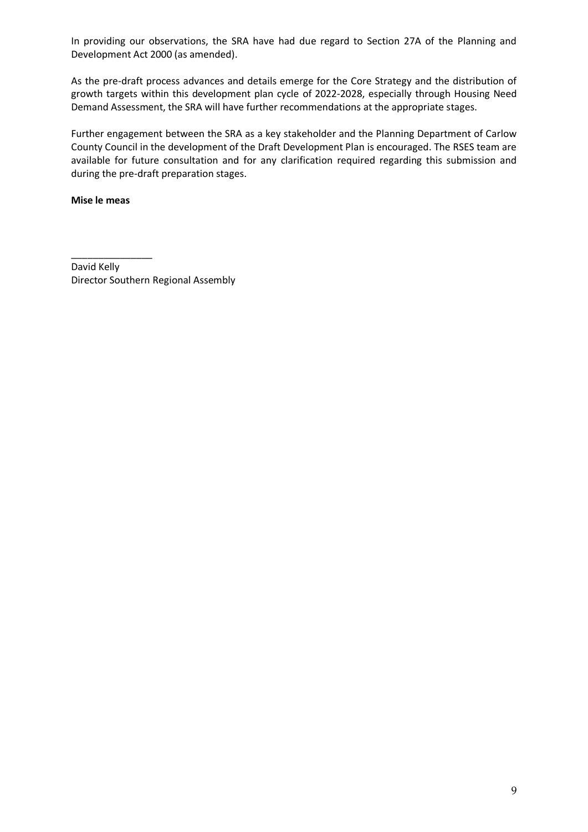In providing our observations, the SRA have had due regard to Section 27A of the Planning and Development Act 2000 (as amended).

As the pre-draft process advances and details emerge for the Core Strategy and the distribution of growth targets within this development plan cycle of 2022-2028, especially through Housing Need Demand Assessment, the SRA will have further recommendations at the appropriate stages.

Further engagement between the SRA as a key stakeholder and the Planning Department of Carlow County Council in the development of the Draft Development Plan is encouraged. The RSES team are available for future consultation and for any clarification required regarding this submission and during the pre-draft preparation stages.

#### **Mise le meas**

\_\_\_\_\_\_\_\_\_\_\_\_\_\_\_ David Kelly Director Southern Regional Assembly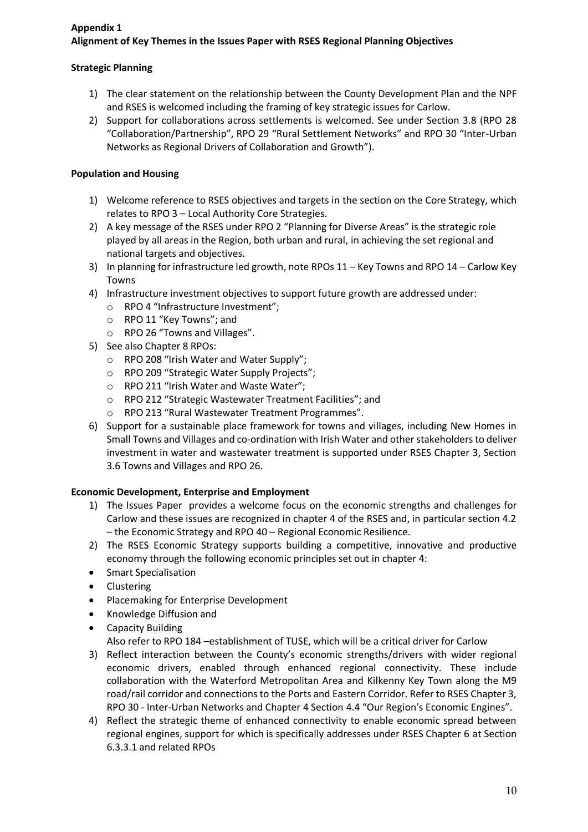# **Appendix 1 Alignment of Key Themes in the Issues Paper with RSES Regional Planning Objectives**

# **Strategic Planning**

- 1) The clear statement on the relationship between the County Development Plan and the NPF and RSES is welcomed including the framing of key strategic issues for Carlow.
- 2) Support for collaborations across settlements is welcomed. See under Section 3.8 (RPO 28 "Collaboration/Partnership", RPO 29 "Rural Settlement Networks" and RPO 30 "Inter-Urban Networks as Regional Drivers of Collaboration and Growth").

### **Population and Housing**

- 1) Welcome reference to RSES objectives and targets in the section on the Core Strategy, which relates to RPO 3 – Local Authority Core Strategies.
- 2) A key message of the RSES under RPO 2 "Planning for Diverse Areas" is the strategic role played by all areas in the Region, both urban and rural, in achieving the set regional and national targets and objectives.
- 3) In planning for infrastructure led growth, note RPOs 11 Key Towns and RPO 14 Carlow Key Towns
- 4) Infrastructure investment objectives to support future growth are addressed under:
	- o RPO 4 "Infrastructure Investment";
	- o RPO 11 "Key Towns"; and
	- o RPO 26 "Towns and Villages".
- 5) See also Chapter 8 RPOs:
	- o RPO 208 "Irish Water and Water Supply";
	- o RPO 209 "Strategic Water Supply Projects";
	- o RPO 211 "Irish Water and Waste Water";
	- o RPO 212 "Strategic Wastewater Treatment Facilities"; and
	- o RPO 213 "Rural Wastewater Treatment Programmes".
- 6) Support for a sustainable place framework for towns and villages, including New Homes in Small Towns and Villages and co-ordination with Irish Water and other stakeholders to deliver investment in water and wastewater treatment is supported under RSES Chapter 3, Section 3.6 Towns and Villages and RPO 26.

### **Economic Development, Enterprise and Employment**

- 1) The Issues Paper provides a welcome focus on the economic strengths and challenges for Carlow and these issues are recognized in chapter 4 of the RSES and, in particular section 4.2 – the Economic Strategy and RPO 40 – Regional Economic Resilience.
- 2) The RSES Economic Strategy supports building a competitive, innovative and productive economy through the following economic principles set out in chapter 4:
- **•** Smart Specialisation
- Clustering
- Placemaking for Enterprise Development
- Knowledge Diffusion and
- Capacity Building

Also refer to RPO 184 –establishment of TUSE, which will be a critical driver for Carlow

- 3) Reflect interaction between the County's economic strengths/drivers with wider regional economic drivers, enabled through enhanced regional connectivity. These include collaboration with the Waterford Metropolitan Area and Kilkenny Key Town along the M9 road/rail corridor and connections to the Ports and Eastern Corridor. Refer to RSES Chapter 3, RPO 30 - Inter-Urban Networks and Chapter 4 Section 4.4 "Our Region's Economic Engines".
- 4) Reflect the strategic theme of enhanced connectivity to enable economic spread between regional engines, support for which is specifically addresses under RSES Chapter 6 at Section 6.3.3.1 and related RPOs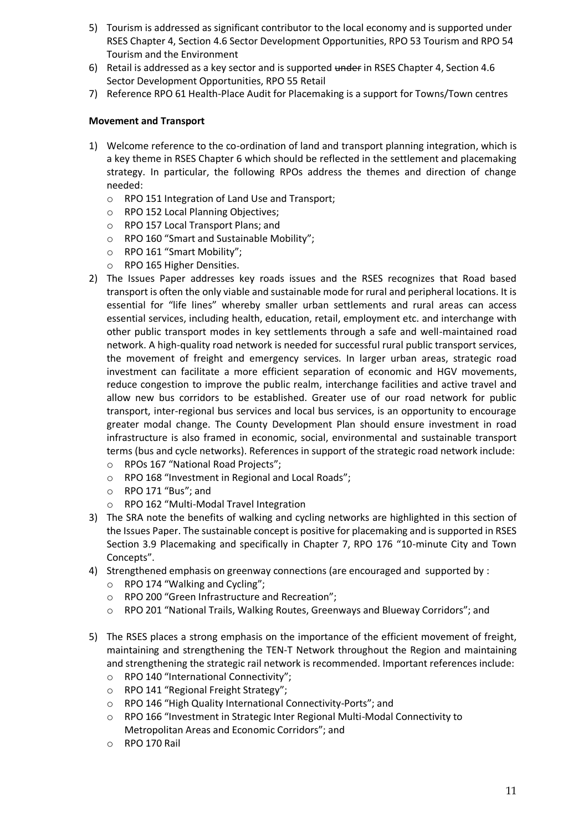- 5) Tourism is addressed as significant contributor to the local economy and is supported under RSES Chapter 4, Section 4.6 Sector Development Opportunities, RPO 53 Tourism and RPO 54 Tourism and the Environment
- 6) Retail is addressed as a key sector and is supported under in RSES Chapter 4, Section 4.6 Sector Development Opportunities, RPO 55 Retail
- 7) Reference RPO 61 Health-Place Audit for Placemaking is a support for Towns/Town centres

### **Movement and Transport**

- 1) Welcome reference to the co-ordination of land and transport planning integration, which is a key theme in RSES Chapter 6 which should be reflected in the settlement and placemaking strategy. In particular, the following RPOs address the themes and direction of change needed:
	- o RPO 151 Integration of Land Use and Transport;
	- o RPO 152 Local Planning Objectives;
	- o RPO 157 Local Transport Plans; and
	- o RPO 160 "Smart and Sustainable Mobility";
	- o RPO 161 "Smart Mobility";
	- RPO 165 Higher Densities.
- 2) The Issues Paper addresses key roads issues and the RSES recognizes that Road based transport is often the only viable and sustainable mode for rural and peripheral locations. It is essential for "life lines" whereby smaller urban settlements and rural areas can access essential services, including health, education, retail, employment etc. and interchange with other public transport modes in key settlements through a safe and well-maintained road network. A high-quality road network is needed for successful rural public transport services, the movement of freight and emergency services. In larger urban areas, strategic road investment can facilitate a more efficient separation of economic and HGV movements, reduce congestion to improve the public realm, interchange facilities and active travel and allow new bus corridors to be established. Greater use of our road network for public transport, inter-regional bus services and local bus services, is an opportunity to encourage greater modal change. The County Development Plan should ensure investment in road infrastructure is also framed in economic, social, environmental and sustainable transport terms (bus and cycle networks). References in support of the strategic road network include: o RPOs 167 "National Road Projects";
	- o RPO 168 "Investment in Regional and Local Roads";
	- o RPO 171 "Bus"; and
	- o RPO 162 "Multi-Modal Travel Integration
- 3) The SRA note the benefits of walking and cycling networks are highlighted in this section of the Issues Paper. The sustainable concept is positive for placemaking and is supported in RSES Section 3.9 Placemaking and specifically in Chapter 7, RPO 176 "10-minute City and Town Concepts".
- 4) Strengthened emphasis on greenway connections (are encouraged and supported by :
	- o RPO 174 "Walking and Cycling";
	- o RPO 200 "Green Infrastructure and Recreation";
	- o RPO 201 "National Trails, Walking Routes, Greenways and Blueway Corridors"; and
- 5) The RSES places a strong emphasis on the importance of the efficient movement of freight, maintaining and strengthening the TEN-T Network throughout the Region and maintaining and strengthening the strategic rail network is recommended. Important references include:
	- o RPO 140 "International Connectivity";
	- o RPO 141 "Regional Freight Strategy";
	- o RPO 146 "High Quality International Connectivity-Ports"; and
	- o RPO 166 "Investment in Strategic Inter Regional Multi-Modal Connectivity to Metropolitan Areas and Economic Corridors"; and
	- o RPO 170 Rail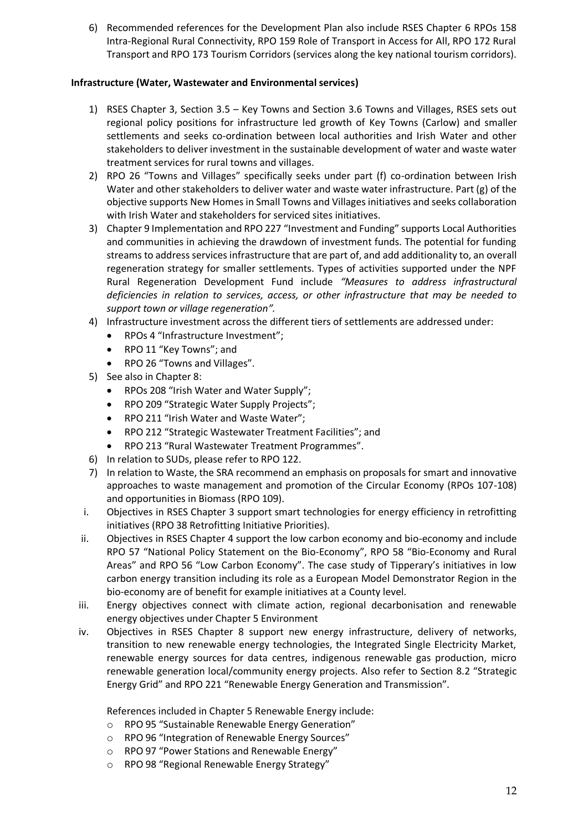6) Recommended references for the Development Plan also include RSES Chapter 6 RPOs 158 Intra-Regional Rural Connectivity, RPO 159 Role of Transport in Access for All, RPO 172 Rural Transport and RPO 173 Tourism Corridors (services along the key national tourism corridors).

### **Infrastructure (Water, Wastewater and Environmental services)**

- 1) RSES Chapter 3, Section 3.5 Key Towns and Section 3.6 Towns and Villages, RSES sets out regional policy positions for infrastructure led growth of Key Towns (Carlow) and smaller settlements and seeks co-ordination between local authorities and Irish Water and other stakeholders to deliver investment in the sustainable development of water and waste water treatment services for rural towns and villages.
- 2) RPO 26 "Towns and Villages" specifically seeks under part (f) co-ordination between Irish Water and other stakeholders to deliver water and waste water infrastructure. Part (g) of the objective supports New Homes in Small Towns and Villages initiatives and seeks collaboration with Irish Water and stakeholders for serviced sites initiatives.
- 3) Chapter 9 Implementation and RPO 227 "Investment and Funding" supports Local Authorities and communities in achieving the drawdown of investment funds. The potential for funding streams to address services infrastructure that are part of, and add additionality to, an overall regeneration strategy for smaller settlements. Types of activities supported under the NPF Rural Regeneration Development Fund include *"Measures to address infrastructural deficiencies in relation to services, access, or other infrastructure that may be needed to support town or village regeneration".*
- 4) Infrastructure investment across the different tiers of settlements are addressed under:
	- RPOs 4 "Infrastructure Investment";
	- RPO 11 "Key Towns"; and
	- RPO 26 "Towns and Villages".
- 5) See also in Chapter 8:
	- RPOs 208 "Irish Water and Water Supply";
	- RPO 209 "Strategic Water Supply Projects";
	- RPO 211 "Irish Water and Waste Water";
	- RPO 212 "Strategic Wastewater Treatment Facilities"; and
	- RPO 213 "Rural Wastewater Treatment Programmes".
- 6) In relation to SUDs, please refer to RPO 122.
- 7) In relation to Waste, the SRA recommend an emphasis on proposals for smart and innovative approaches to waste management and promotion of the Circular Economy (RPOs 107-108) and opportunities in Biomass (RPO 109).
- i. Objectives in RSES Chapter 3 support smart technologies for energy efficiency in retrofitting initiatives (RPO 38 Retrofitting Initiative Priorities).
- ii. Objectives in RSES Chapter 4 support the low carbon economy and bio-economy and include RPO 57 "National Policy Statement on the Bio-Economy", RPO 58 "Bio-Economy and Rural Areas" and RPO 56 "Low Carbon Economy". The case study of Tipperary's initiatives in low carbon energy transition including its role as a European Model Demonstrator Region in the bio-economy are of benefit for example initiatives at a County level.
- iii. Energy objectives connect with climate action, regional decarbonisation and renewable energy objectives under Chapter 5 Environment
- iv. Objectives in RSES Chapter 8 support new energy infrastructure, delivery of networks, transition to new renewable energy technologies, the Integrated Single Electricity Market, renewable energy sources for data centres, indigenous renewable gas production, micro renewable generation local/community energy projects. Also refer to Section 8.2 "Strategic Energy Grid" and RPO 221 "Renewable Energy Generation and Transmission".

References included in Chapter 5 Renewable Energy include:

- o RPO 95 "Sustainable Renewable Energy Generation"
- o RPO 96 "Integration of Renewable Energy Sources"
- o RPO 97 "Power Stations and Renewable Energy"
- o RPO 98 "Regional Renewable Energy Strategy"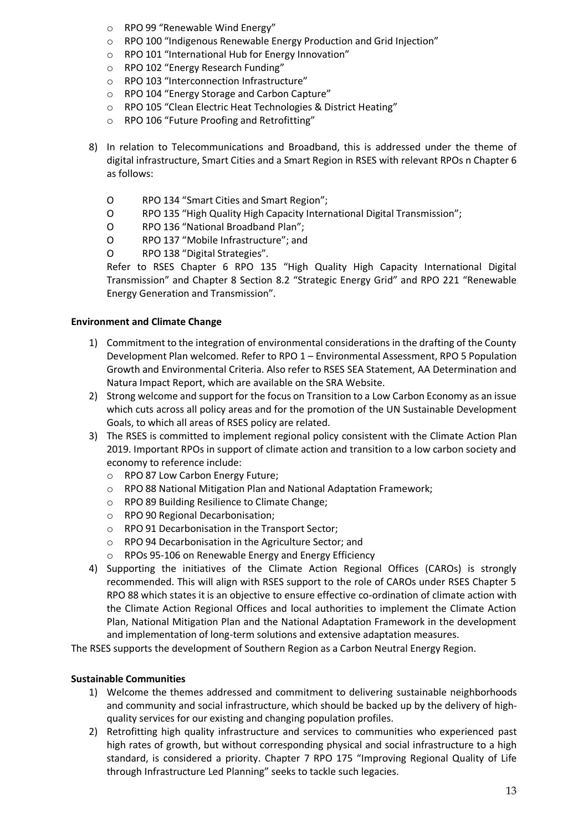- o RPO 99 "Renewable Wind Energy"
- o RPO 100 "Indigenous Renewable Energy Production and Grid Injection"
- o RPO 101 "International Hub for Energy Innovation"
- o RPO 102 "Energy Research Funding"
- o RPO 103 "Interconnection Infrastructure"
- o RPO 104 "Energy Storage and Carbon Capture"
- o RPO 105 "Clean Electric Heat Technologies & District Heating"
- o RPO 106 "Future Proofing and Retrofitting"
- 8) In relation to Telecommunications and Broadband, this is addressed under the theme of digital infrastructure, Smart Cities and a Smart Region in RSES with relevant RPOs n Chapter 6 as follows:
	- O RPO 134 "Smart Cities and Smart Region";
	- O RPO 135 "High Quality High Capacity International Digital Transmission";
	- O RPO 136 "National Broadband Plan";
	- O RPO 137 "Mobile Infrastructure"; and
	- O RPO 138 "Digital Strategies".

Refer to RSES Chapter 6 RPO 135 "High Quality High Capacity International Digital Transmission" and Chapter 8 Section 8.2 "Strategic Energy Grid" and RPO 221 "Renewable Energy Generation and Transmission".

#### **Environment and Climate Change**

- 1) Commitment to the integration of environmental considerations in the drafting of the County Development Plan welcomed. Refer to RPO 1 – Environmental Assessment, RPO 5 Population Growth and Environmental Criteria. Also refer to RSES SEA Statement, AA Determination and Natura Impact Report, which are available on the SRA Website.
- 2) Strong welcome and support for the focus on Transition to a Low Carbon Economy as an issue which cuts across all policy areas and for the promotion of the UN Sustainable Development Goals, to which all areas of RSES policy are related.
- 3) The RSES is committed to implement regional policy consistent with the Climate Action Plan 2019. Important RPOs in support of climate action and transition to a low carbon society and economy to reference include:
	- o RPO 87 Low Carbon Energy Future;
	- o RPO 88 National Mitigation Plan and National Adaptation Framework;
	- o RPO 89 Building Resilience to Climate Change;
	- o RPO 90 Regional Decarbonisation;
	- o RPO 91 Decarbonisation in the Transport Sector;
	- o RPO 94 Decarbonisation in the Agriculture Sector; and
	- o RPOs 95-106 on Renewable Energy and Energy Efficiency
- 4) Supporting the initiatives of the Climate Action Regional Offices (CAROs) is strongly recommended. This will align with RSES support to the role of CAROs under RSES Chapter 5 RPO 88 which states it is an objective to ensure effective co-ordination of climate action with the Climate Action Regional Offices and local authorities to implement the Climate Action Plan, National Mitigation Plan and the National Adaptation Framework in the development and implementation of long-term solutions and extensive adaptation measures.

The RSES supports the development of Southern Region as a Carbon Neutral Energy Region.

#### **Sustainable Communities**

- 1) Welcome the themes addressed and commitment to delivering sustainable neighborhoods and community and social infrastructure, which should be backed up by the delivery of highquality services for our existing and changing population profiles.
- 2) Retrofitting high quality infrastructure and services to communities who experienced past high rates of growth, but without corresponding physical and social infrastructure to a high standard, is considered a priority. Chapter 7 RPO 175 "Improving Regional Quality of Life through Infrastructure Led Planning" seeks to tackle such legacies.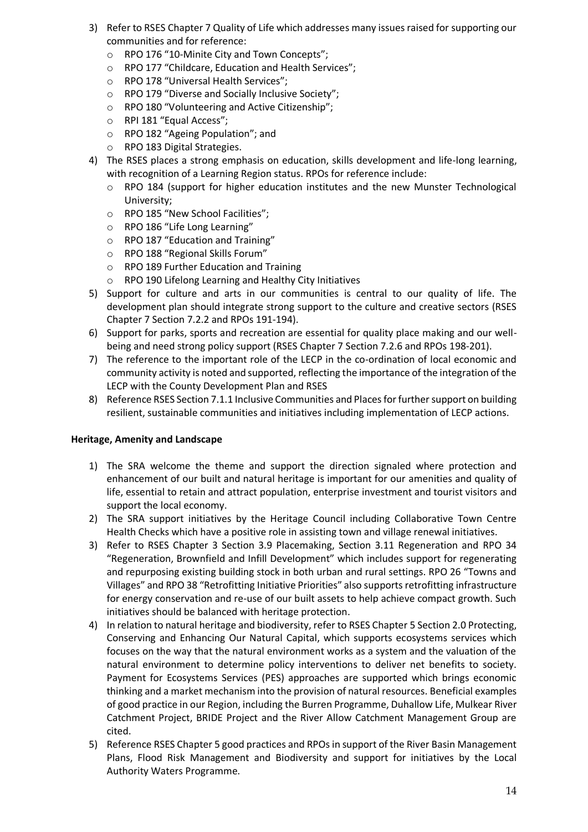- 3) Refer to RSES Chapter 7 Quality of Life which addresses many issues raised for supporting our communities and for reference:
	- o RPO 176 "10-Minite City and Town Concepts";
	- o RPO 177 "Childcare, Education and Health Services";
	- o RPO 178 "Universal Health Services";
	- o RPO 179 "Diverse and Socially Inclusive Society";
	- o RPO 180 "Volunteering and Active Citizenship";
	- o RPI 181 "Equal Access";
	- o RPO 182 "Ageing Population"; and
	- o RPO 183 Digital Strategies.
- 4) The RSES places a strong emphasis on education, skills development and life-long learning, with recognition of a Learning Region status. RPOs for reference include:
	- o RPO 184 (support for higher education institutes and the new Munster Technological University;
	- o RPO 185 "New School Facilities";
	- o RPO 186 "Life Long Learning"
	- o RPO 187 "Education and Training"
	- o RPO 188 "Regional Skills Forum"
	- o RPO 189 Further Education and Training
	- o RPO 190 Lifelong Learning and Healthy City Initiatives
- 5) Support for culture and arts in our communities is central to our quality of life. The development plan should integrate strong support to the culture and creative sectors (RSES Chapter 7 Section 7.2.2 and RPOs 191-194).
- 6) Support for parks, sports and recreation are essential for quality place making and our wellbeing and need strong policy support (RSES Chapter 7 Section 7.2.6 and RPOs 198-201).
- 7) The reference to the important role of the LECP in the co-ordination of local economic and community activity is noted and supported, reflecting the importance of the integration of the LECP with the County Development Plan and RSES
- 8) Reference RSES Section 7.1.1 Inclusive Communities and Places for further support on building resilient, sustainable communities and initiatives including implementation of LECP actions.

### **Heritage, Amenity and Landscape**

- 1) The SRA welcome the theme and support the direction signaled where protection and enhancement of our built and natural heritage is important for our amenities and quality of life, essential to retain and attract population, enterprise investment and tourist visitors and support the local economy.
- 2) The SRA support initiatives by the Heritage Council including Collaborative Town Centre Health Checks which have a positive role in assisting town and village renewal initiatives.
- 3) Refer to RSES Chapter 3 Section 3.9 Placemaking, Section 3.11 Regeneration and RPO 34 "Regeneration, Brownfield and Infill Development" which includes support for regenerating and repurposing existing building stock in both urban and rural settings. RPO 26 "Towns and Villages" and RPO 38 "Retrofitting Initiative Priorities" also supports retrofitting infrastructure for energy conservation and re-use of our built assets to help achieve compact growth. Such initiatives should be balanced with heritage protection.
- 4) In relation to natural heritage and biodiversity, refer to RSES Chapter 5 Section 2.0 Protecting, Conserving and Enhancing Our Natural Capital, which supports ecosystems services which focuses on the way that the natural environment works as a system and the valuation of the natural environment to determine policy interventions to deliver net benefits to society. Payment for Ecosystems Services (PES) approaches are supported which brings economic thinking and a market mechanism into the provision of natural resources. Beneficial examples of good practice in our Region, including the Burren Programme, Duhallow Life, Mulkear River Catchment Project, BRIDE Project and the River Allow Catchment Management Group are cited.
- 5) Reference RSES Chapter 5 good practices and RPOs in support of the River Basin Management Plans, Flood Risk Management and Biodiversity and support for initiatives by the Local Authority Waters Programme.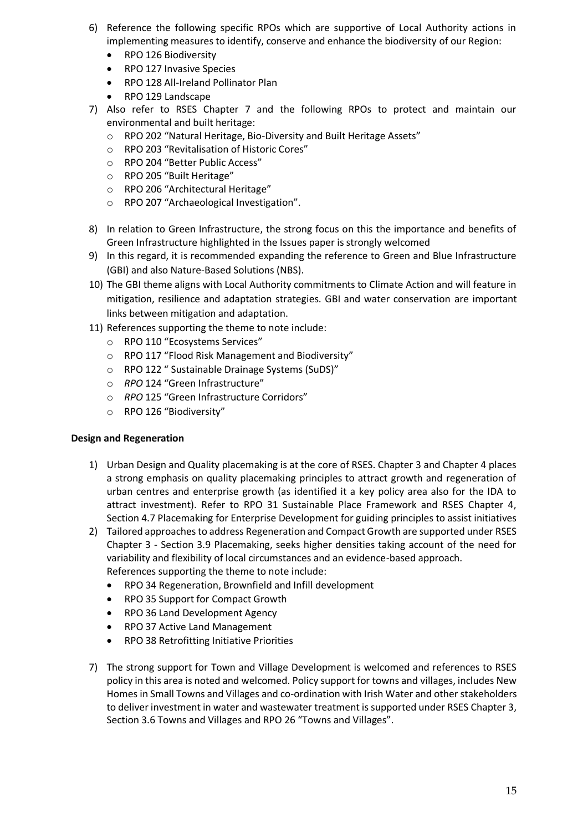- 6) Reference the following specific RPOs which are supportive of Local Authority actions in implementing measures to identify, conserve and enhance the biodiversity of our Region:
	- RPO 126 Biodiversity
	- RPO 127 Invasive Species
	- RPO 128 All-Ireland Pollinator Plan
	- RPO 129 Landscape
- 7) Also refer to RSES Chapter 7 and the following RPOs to protect and maintain our environmental and built heritage:
	- o RPO 202 "Natural Heritage, Bio-Diversity and Built Heritage Assets"
	- o RPO 203 "Revitalisation of Historic Cores"
	- o RPO 204 "Better Public Access"
	- o RPO 205 "Built Heritage"
	- o RPO 206 "Architectural Heritage"
	- o RPO 207 "Archaeological Investigation".
- 8) In relation to Green Infrastructure, the strong focus on this the importance and benefits of Green Infrastructure highlighted in the Issues paper is strongly welcomed
- 9) In this regard, it is recommended expanding the reference to Green and Blue Infrastructure (GBI) and also Nature-Based Solutions (NBS).
- 10) The GBI theme aligns with Local Authority commitments to Climate Action and will feature in mitigation, resilience and adaptation strategies. GBI and water conservation are important links between mitigation and adaptation.
- 11) References supporting the theme to note include:
	- o RPO 110 "Ecosystems Services"
	- o RPO 117 "Flood Risk Management and Biodiversity"
	- o RPO 122 " Sustainable Drainage Systems (SuDS)"
	- o *RPO* 124 "Green Infrastructure"
	- o *RPO* 125 "Green Infrastructure Corridors"
	- o RPO 126 "Biodiversity"

#### **Design and Regeneration**

- 1) Urban Design and Quality placemaking is at the core of RSES. Chapter 3 and Chapter 4 places a strong emphasis on quality placemaking principles to attract growth and regeneration of urban centres and enterprise growth (as identified it a key policy area also for the IDA to attract investment). Refer to RPO 31 Sustainable Place Framework and RSES Chapter 4, Section 4.7 Placemaking for Enterprise Development for guiding principles to assist initiatives
- 2) Tailored approaches to address Regeneration and Compact Growth are supported under RSES Chapter 3 - Section 3.9 Placemaking, seeks higher densities taking account of the need for variability and flexibility of local circumstances and an evidence-based approach. References supporting the theme to note include:
	- RPO 34 Regeneration, Brownfield and Infill development
	- RPO 35 Support for Compact Growth
	- RPO 36 Land Development Agency
	- RPO 37 Active Land Management
	- RPO 38 Retrofitting Initiative Priorities
- 7) The strong support for Town and Village Development is welcomed and references to RSES policy in this area is noted and welcomed. Policy support for towns and villages, includes New Homes in Small Towns and Villages and co-ordination with Irish Water and other stakeholders to deliver investment in water and wastewater treatment is supported under RSES Chapter 3, Section 3.6 Towns and Villages and RPO 26 "Towns and Villages".